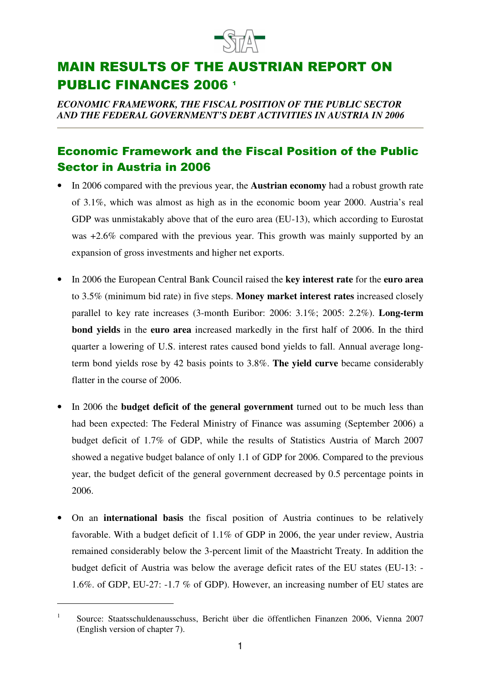

## **MAIN RESULTS OF THE AUSTRIAN REPORT ON PUBLIC FINANCES 2006 1**

*ECONOMIC FRAMEWORK, THE FISCAL POSITION OF THE PUBLIC SECTOR AND THE FEDERAL GOVERNMENT'S DEBT ACTIVITIES IN AUSTRIA IN 2006*

## **Economic Framework and the Fiscal Position of the Public Sector in Austria in 2006**

- In 2006 compared with the previous year, the **Austrian economy** had a robust growth rate of 3.1%, which was almost as high as in the economic boom year 2000. Austria's real GDP was unmistakably above that of the euro area (EU-13), which according to Eurostat was +2.6% compared with the previous year. This growth was mainly supported by an expansion of gross investments and higher net exports.
- In 2006 the European Central Bank Council raised the **key interest rate** for the **euro area** to 3.5% (minimum bid rate) in five steps. **Money market interest rates** increased closely parallel to key rate increases (3-month Euribor: 2006: 3.1%; 2005: 2.2%). **Long-term bond yields** in the **euro area** increased markedly in the first half of 2006. In the third quarter a lowering of U.S. interest rates caused bond yields to fall. Annual average longterm bond yields rose by 42 basis points to 3.8%. **The yield curve** became considerably flatter in the course of 2006.
- In 2006 the **budget deficit of the general government** turned out to be much less than had been expected: The Federal Ministry of Finance was assuming (September 2006) a budget deficit of 1.7% of GDP, while the results of Statistics Austria of March 2007 showed a negative budget balance of only 1.1 of GDP for 2006. Compared to the previous year, the budget deficit of the general government decreased by 0.5 percentage points in 2006.
- On an **international basis** the fiscal position of Austria continues to be relatively favorable. With a budget deficit of 1.1% of GDP in 2006, the year under review, Austria remained considerably below the 3-percent limit of the Maastricht Treaty. In addition the budget deficit of Austria was below the average deficit rates of the EU states (EU-13: - 1.6%. of GDP, EU-27: -1.7 % of GDP). However, an increasing number of EU states are

<sup>1</sup> Source: Staatsschuldenausschuss, Bericht über die öffentlichen Finanzen 2006, Vienna 2007 (English version of chapter 7).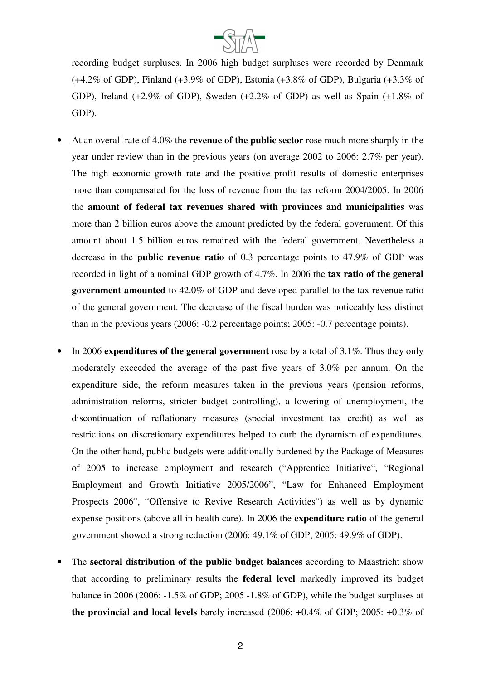

recording budget surpluses. In 2006 high budget surpluses were recorded by Denmark (+4.2% of GDP), Finland (+3.9% of GDP), Estonia (+3.8% of GDP), Bulgaria (+3.3% of GDP), Ireland (+2.9% of GDP), Sweden (+2.2% of GDP) as well as Spain (+1.8% of GDP).

- At an overall rate of 4.0% the **revenue of the public sector** rose much more sharply in the year under review than in the previous years (on average 2002 to 2006: 2.7% per year). The high economic growth rate and the positive profit results of domestic enterprises more than compensated for the loss of revenue from the tax reform 2004/2005. In 2006 the **amount of federal tax revenues shared with provinces and municipalities** was more than 2 billion euros above the amount predicted by the federal government. Of this amount about 1.5 billion euros remained with the federal government. Nevertheless a decrease in the **public revenue ratio** of 0.3 percentage points to 47.9% of GDP was recorded in light of a nominal GDP growth of 4.7%. In 2006 the **tax ratio of the general government amounted** to 42.0% of GDP and developed parallel to the tax revenue ratio of the general government. The decrease of the fiscal burden was noticeably less distinct than in the previous years (2006: -0.2 percentage points; 2005: -0.7 percentage points).
- In 2006 **expenditures of the general government** rose by a total of 3.1%. Thus they only moderately exceeded the average of the past five years of 3.0% per annum. On the expenditure side, the reform measures taken in the previous years (pension reforms, administration reforms, stricter budget controlling), a lowering of unemployment, the discontinuation of reflationary measures (special investment tax credit) as well as restrictions on discretionary expenditures helped to curb the dynamism of expenditures. On the other hand, public budgets were additionally burdened by the Package of Measures of 2005 to increase employment and research ("Apprentice Initiative", "Regional Employment and Growth Initiative 2005/2006", "Law for Enhanced Employment Prospects 2006", "Offensive to Revive Research Activities") as well as by dynamic expense positions (above all in health care). In 2006 the **expenditure ratio** of the general government showed a strong reduction (2006: 49.1% of GDP, 2005: 49.9% of GDP).
- The **sectoral distribution of the public budget balances** according to Maastricht show that according to preliminary results the **federal level** markedly improved its budget balance in 2006 (2006: -1.5% of GDP; 2005 -1.8% of GDP), while the budget surpluses at **the provincial and local levels** barely increased (2006: +0.4% of GDP; 2005: +0.3% of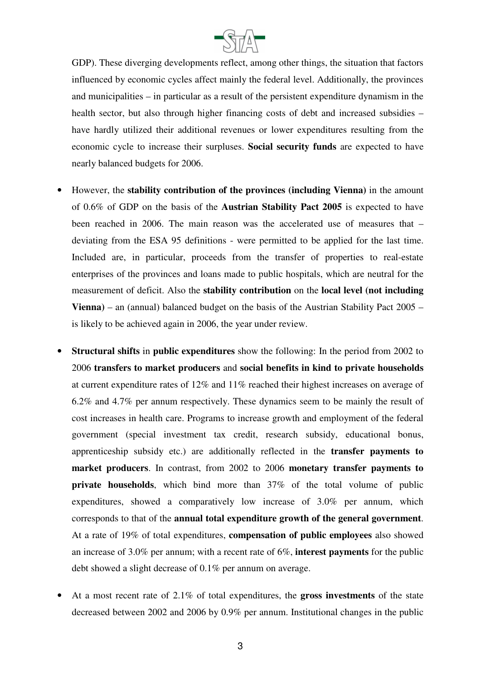

GDP). These diverging developments reflect, among other things, the situation that factors influenced by economic cycles affect mainly the federal level. Additionally, the provinces and municipalities – in particular as a result of the persistent expenditure dynamism in the health sector, but also through higher financing costs of debt and increased subsidies – have hardly utilized their additional revenues or lower expenditures resulting from the economic cycle to increase their surpluses. **Social security funds** are expected to have nearly balanced budgets for 2006.

- However, the **stability contribution of the provinces (including Vienna)** in the amount of 0.6% of GDP on the basis of the **Austrian Stability Pact 2005** is expected to have been reached in 2006. The main reason was the accelerated use of measures that – deviating from the ESA 95 definitions - were permitted to be applied for the last time. Included are, in particular, proceeds from the transfer of properties to real-estate enterprises of the provinces and loans made to public hospitals, which are neutral for the measurement of deficit. Also the **stability contribution** on the **local level (not including Vienna)** – an (annual) balanced budget on the basis of the Austrian Stability Pact 2005 – is likely to be achieved again in 2006, the year under review.
- **Structural shifts** in **public expenditures** show the following: In the period from 2002 to 2006 **transfers to market producers** and **social benefits in kind to private households** at current expenditure rates of 12% and 11% reached their highest increases on average of 6.2% and 4.7% per annum respectively. These dynamics seem to be mainly the result of cost increases in health care. Programs to increase growth and employment of the federal government (special investment tax credit, research subsidy, educational bonus, apprenticeship subsidy etc.) are additionally reflected in the **transfer payments to market producers**. In contrast, from 2002 to 2006 **monetary transfer payments to private households**, which bind more than 37% of the total volume of public expenditures, showed a comparatively low increase of 3.0% per annum, which corresponds to that of the **annual total expenditure growth of the general government**. At a rate of 19% of total expenditures, **compensation of public employees** also showed an increase of 3.0% per annum; with a recent rate of 6%, **interest payments** for the public debt showed a slight decrease of 0.1% per annum on average.
- At a most recent rate of 2.1% of total expenditures, the **gross investments** of the state decreased between 2002 and 2006 by 0.9% per annum. Institutional changes in the public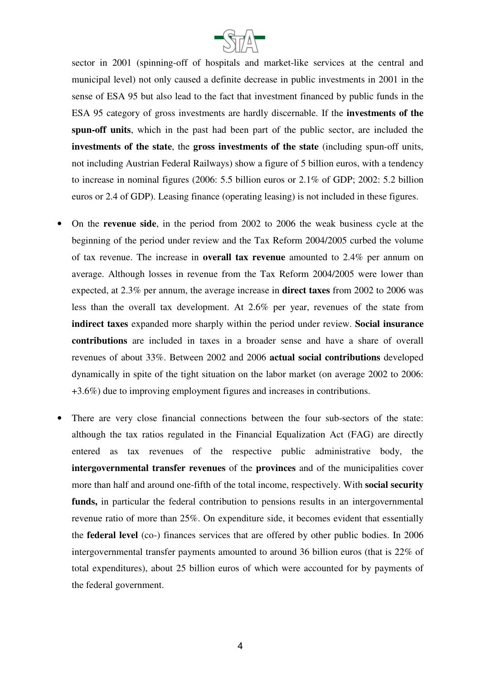

sector in 2001 (spinning-off of hospitals and market-like services at the central and municipal level) not only caused a definite decrease in public investments in 2001 in the sense of ESA 95 but also lead to the fact that investment financed by public funds in the ESA 95 category of gross investments are hardly discernable. If the **investments of the spun-off units**, which in the past had been part of the public sector, are included the **investments of the state**, the **gross investments of the state** (including spun-off units, not including Austrian Federal Railways) show a figure of 5 billion euros, with a tendency to increase in nominal figures (2006: 5.5 billion euros or 2.1% of GDP; 2002: 5.2 billion euros or 2.4 of GDP). Leasing finance (operating leasing) is not included in these figures.

- On the **revenue side**, in the period from 2002 to 2006 the weak business cycle at the beginning of the period under review and the Tax Reform 2004/2005 curbed the volume of tax revenue. The increase in **overall tax revenue** amounted to 2.4% per annum on average. Although losses in revenue from the Tax Reform 2004/2005 were lower than expected, at 2.3% per annum, the average increase in **direct taxes** from 2002 to 2006 was less than the overall tax development. At 2.6% per year, revenues of the state from **indirect taxes** expanded more sharply within the period under review. **Social insurance contributions** are included in taxes in a broader sense and have a share of overall revenues of about 33%. Between 2002 and 2006 **actual social contributions** developed dynamically in spite of the tight situation on the labor market (on average 2002 to 2006: +3.6%) due to improving employment figures and increases in contributions.
- There are very close financial connections between the four sub-sectors of the state: although the tax ratios regulated in the Financial Equalization Act (FAG) are directly entered as tax revenues of the respective public administrative body, the **intergovernmental transfer revenues** of the **provinces** and of the municipalities cover more than half and around one-fifth of the total income, respectively. With **social security funds,** in particular the federal contribution to pensions results in an intergovernmental revenue ratio of more than 25%. On expenditure side, it becomes evident that essentially the **federal level** (co-) finances services that are offered by other public bodies. In 2006 intergovernmental transfer payments amounted to around 36 billion euros (that is 22% of total expenditures), about 25 billion euros of which were accounted for by payments of the federal government.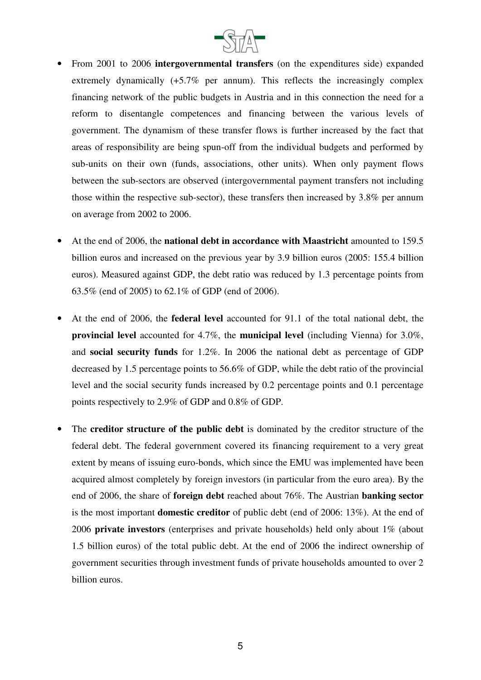

- From 2001 to 2006 **intergovernmental transfers** (on the expenditures side) expanded extremely dynamically  $(+5.7\%$  per annum). This reflects the increasingly complex financing network of the public budgets in Austria and in this connection the need for a reform to disentangle competences and financing between the various levels of government. The dynamism of these transfer flows is further increased by the fact that areas of responsibility are being spun-off from the individual budgets and performed by sub-units on their own (funds, associations, other units). When only payment flows between the sub-sectors are observed (intergovernmental payment transfers not including those within the respective sub-sector), these transfers then increased by 3.8% per annum on average from 2002 to 2006.
- At the end of 2006, the **national debt in accordance with Maastricht** amounted to 159.5 billion euros and increased on the previous year by 3.9 billion euros (2005: 155.4 billion euros). Measured against GDP, the debt ratio was reduced by 1.3 percentage points from 63.5% (end of 2005) to 62.1% of GDP (end of 2006).
- At the end of 2006, the **federal level** accounted for 91.1 of the total national debt, the **provincial level** accounted for 4.7%, the **municipal level** (including Vienna) for 3.0%, and **social security funds** for 1.2%. In 2006 the national debt as percentage of GDP decreased by 1.5 percentage points to 56.6% of GDP, while the debt ratio of the provincial level and the social security funds increased by 0.2 percentage points and 0.1 percentage points respectively to 2.9% of GDP and 0.8% of GDP.
- The **creditor structure of the public debt** is dominated by the creditor structure of the federal debt. The federal government covered its financing requirement to a very great extent by means of issuing euro-bonds, which since the EMU was implemented have been acquired almost completely by foreign investors (in particular from the euro area). By the end of 2006, the share of **foreign debt** reached about 76%. The Austrian **banking sector** is the most important **domestic creditor** of public debt (end of 2006: 13%). At the end of 2006 **private investors** (enterprises and private households) held only about 1% (about 1.5 billion euros) of the total public debt. At the end of 2006 the indirect ownership of government securities through investment funds of private households amounted to over 2 billion euros.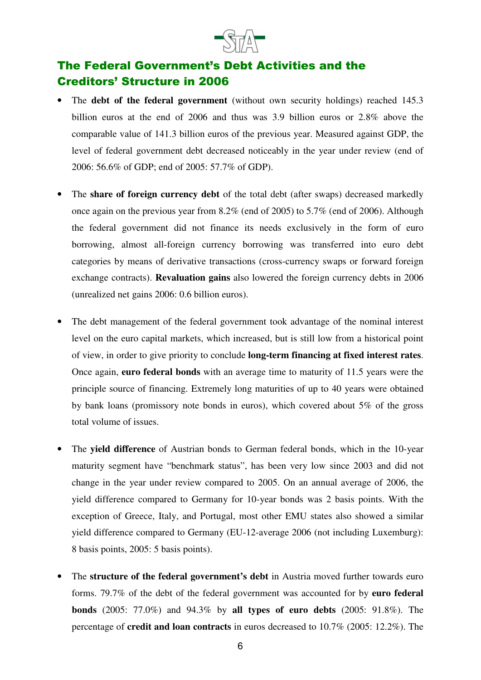

## The Federal Government's Debt Activities and the **Creditors' Structure in 2006**

- The **debt of the federal government** (without own security holdings) reached 145.3 billion euros at the end of 2006 and thus was 3.9 billion euros or 2.8% above the comparable value of 141.3 billion euros of the previous year. Measured against GDP, the level of federal government debt decreased noticeably in the year under review (end of 2006: 56.6% of GDP; end of 2005: 57.7% of GDP).
- The **share of foreign currency debt** of the total debt (after swaps) decreased markedly once again on the previous year from 8.2% (end of 2005) to 5.7% (end of 2006). Although the federal government did not finance its needs exclusively in the form of euro borrowing, almost all-foreign currency borrowing was transferred into euro debt categories by means of derivative transactions (cross-currency swaps or forward foreign exchange contracts). **Revaluation gains** also lowered the foreign currency debts in 2006 (unrealized net gains 2006: 0.6 billion euros).
- The debt management of the federal government took advantage of the nominal interest level on the euro capital markets, which increased, but is still low from a historical point of view, in order to give priority to conclude **long-term financing at fixed interest rates**. Once again, **euro federal bonds** with an average time to maturity of 11.5 years were the principle source of financing. Extremely long maturities of up to 40 years were obtained by bank loans (promissory note bonds in euros), which covered about 5% of the gross total volume of issues.
- The **yield difference** of Austrian bonds to German federal bonds, which in the 10-year maturity segment have "benchmark status", has been very low since 2003 and did not change in the year under review compared to 2005. On an annual average of 2006, the yield difference compared to Germany for 10-year bonds was 2 basis points. With the exception of Greece, Italy, and Portugal, most other EMU states also showed a similar yield difference compared to Germany (EU-12-average 2006 (not including Luxemburg): 8 basis points, 2005: 5 basis points).
- The **structure of the federal government's debt** in Austria moved further towards euro forms. 79.7% of the debt of the federal government was accounted for by **euro federal bonds** (2005: 77.0%) and 94.3% by **all types of euro debts** (2005: 91.8%). The percentage of **credit and loan contracts** in euros decreased to 10.7% (2005: 12.2%). The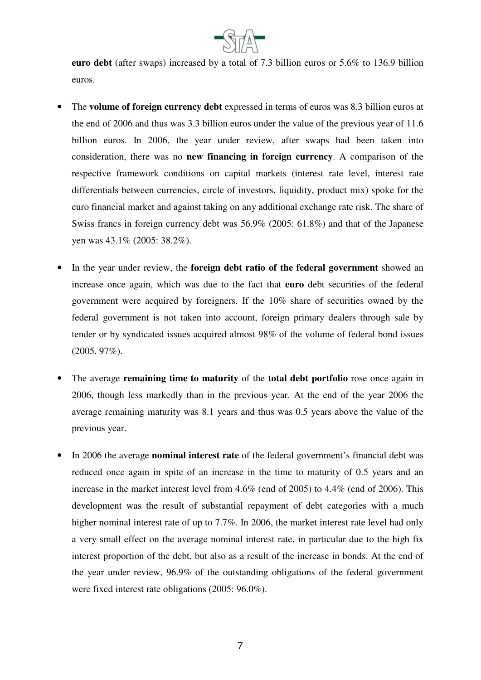

**euro debt** (after swaps) increased by a total of 7.3 billion euros or 5.6% to 136.9 billion euros.

- The **volume of foreign currency debt** expressed in terms of euros was 8.3 billion euros at the end of 2006 and thus was 3.3 billion euros under the value of the previous year of 11.6 billion euros. In 2006, the year under review, after swaps had been taken into consideration, there was no **new financing in foreign currency**. A comparison of the respective framework conditions on capital markets (interest rate level, interest rate differentials between currencies, circle of investors, liquidity, product mix) spoke for the euro financial market and against taking on any additional exchange rate risk. The share of Swiss francs in foreign currency debt was 56.9% (2005: 61.8%) and that of the Japanese yen was 43.1% (2005: 38.2%).
- In the year under review, the **foreign debt ratio of the federal government** showed an increase once again, which was due to the fact that **euro** debt securities of the federal government were acquired by foreigners. If the 10% share of securities owned by the federal government is not taken into account, foreign primary dealers through sale by tender or by syndicated issues acquired almost 98% of the volume of federal bond issues (2005. 97%).
- The average **remaining time to maturity** of the **total debt portfolio** rose once again in 2006, though less markedly than in the previous year. At the end of the year 2006 the average remaining maturity was 8.1 years and thus was 0.5 years above the value of the previous year.
- In 2006 the average **nominal interest rate** of the federal government's financial debt was reduced once again in spite of an increase in the time to maturity of 0.5 years and an increase in the market interest level from 4.6% (end of 2005) to 4.4% (end of 2006). This development was the result of substantial repayment of debt categories with a much higher nominal interest rate of up to 7.7%. In 2006, the market interest rate level had only a very small effect on the average nominal interest rate, in particular due to the high fix interest proportion of the debt, but also as a result of the increase in bonds. At the end of the year under review, 96.9% of the outstanding obligations of the federal government were fixed interest rate obligations (2005: 96.0%).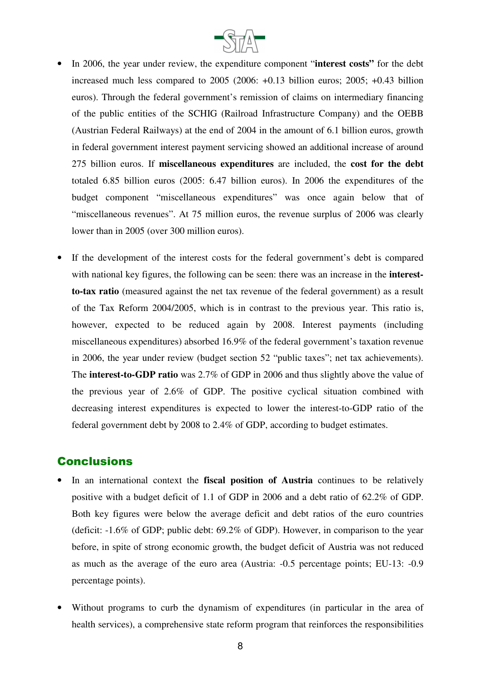

- In 2006, the year under review, the expenditure component "**interest costs"** for the debt increased much less compared to 2005 (2006: +0.13 billion euros; 2005; +0.43 billion euros). Through the federal government's remission of claims on intermediary financing of the public entities of the SCHIG (Railroad Infrastructure Company) and the OEBB (Austrian Federal Railways) at the end of 2004 in the amount of 6.1 billion euros, growth in federal government interest payment servicing showed an additional increase of around 275 billion euros. If **miscellaneous expenditures** are included, the **cost for the debt** totaled 6.85 billion euros (2005: 6.47 billion euros). In 2006 the expenditures of the budget component "miscellaneous expenditures" was once again below that of "miscellaneous revenues". At 75 million euros, the revenue surplus of 2006 was clearly lower than in 2005 (over 300 million euros).
- If the development of the interest costs for the federal government's debt is compared with national key figures, the following can be seen: there was an increase in the **interestto-tax ratio** (measured against the net tax revenue of the federal government) as a result of the Tax Reform 2004/2005, which is in contrast to the previous year. This ratio is, however, expected to be reduced again by 2008. Interest payments (including miscellaneous expenditures) absorbed 16.9% of the federal government's taxation revenue in 2006, the year under review (budget section 52 "public taxes"; net tax achievements). The **interest-to-GDP ratio** was 2.7% of GDP in 2006 and thus slightly above the value of the previous year of 2.6% of GDP. The positive cyclical situation combined with decreasing interest expenditures is expected to lower the interest-to-GDP ratio of the federal government debt by 2008 to 2.4% of GDP, according to budget estimates.

## **Conclusions**

- In an international context the **fiscal position of Austria** continues to be relatively positive with a budget deficit of 1.1 of GDP in 2006 and a debt ratio of 62.2% of GDP. Both key figures were below the average deficit and debt ratios of the euro countries (deficit: -1.6% of GDP; public debt: 69.2% of GDP). However, in comparison to the year before, in spite of strong economic growth, the budget deficit of Austria was not reduced as much as the average of the euro area (Austria: -0.5 percentage points; EU-13: -0.9 percentage points).
- Without programs to curb the dynamism of expenditures (in particular in the area of health services), a comprehensive state reform program that reinforces the responsibilities